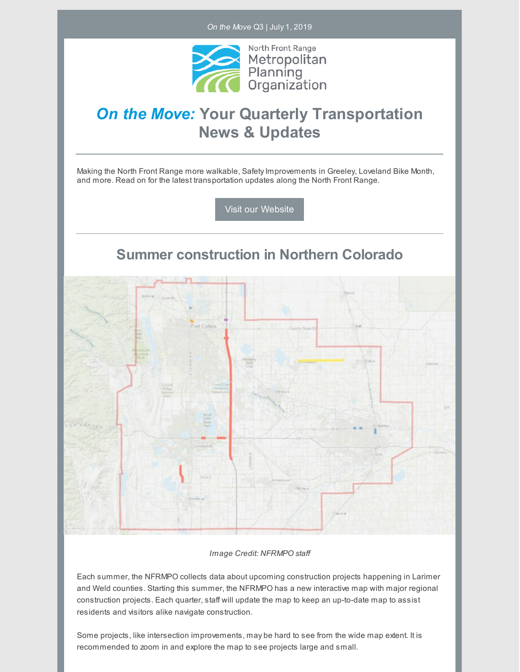*On the Move* Q3 | July 1, 2019



# *On the Move:* **Your Quarterly Transportation News & Updates**

Making the North Front Range more walkable, Safety Improvements in Greeley, Loveland Bike Month, and more. Read on for the latest transportation updates along the North Front Range.

Visit our [Website](https://nfrmpo.org/)

**Summer construction in Northern Colorado**



#### *Image Credit: NFRMPO staff*

Each summer, the NFRMPO collects data about upcoming construction projects happening in Larimer and Weld counties. Starting this summer, the NFRMPO has a new interactive map with major regional construction projects. Each quarter, staff will update the map to keep an up-to-date map to assist residents and visitors alike navigate construction.

Some projects, like intersection improvements, may be hard to see from the wide map extent. It is recommended to zoom in and explore the map to see projects large and small.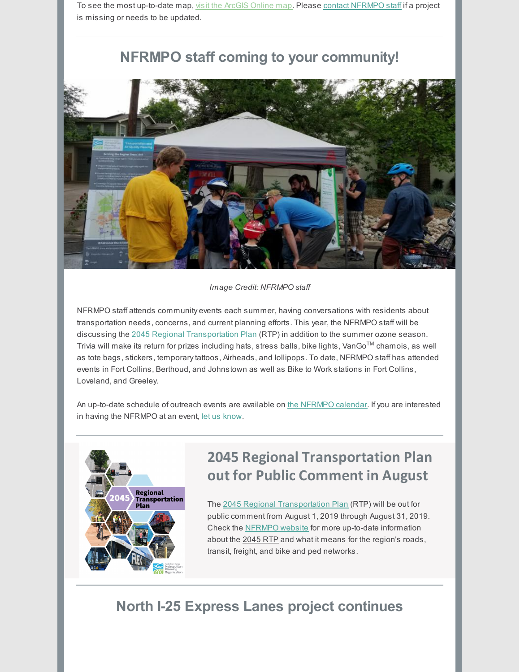To see the most up-to-date map, visit the [ArcGIS](https://nfrmpo.org/newsletter/construction/) Online map. Please contact [NFRMPO](mailto:staff@nfrmpo.org) staff if a project is missing or needs to be updated.

### **NFRMPO staff coming to your community!**



#### *Image Credit: NFRMPO staff*

NFRMPO staff attends community events each summer, having conversations with residents about transportation needs, concerns, and current planning efforts. This year, the NFRMPO staff will be discussing the 2045 Regional [Transportation](https://nfrmpo.org/rtp/) Plan (RTP) in addition to the summer ozone season. Trivia will make its return for prizes including hats, stress balls, bike lights, VanGo™ chamois, as well as tote bags, stickers, temporarytattoos, Airheads, and lollipops. To date, NFRMPO staff has attended events in Fort Collins, Berthoud, and Johnstown as well as Bike to Work stations in Fort Collins, Loveland, and Greeley.

An up-to-date schedule of outreach events are available on the [NFRMPO](https://nfrmpo.org/calendar/categories/outreach-events/) calendar. If you are interested in having the NFRMPO at an event, let us [know](https://nfrmpo.org/public-involvement/).



# **2045 Regional Transportation Plan out for Public Comment in August**

The 2045 Regional [Transportation](https://nfrmpo.org/rtp/) Plan (RTP) will be out for public comment from August 1, 2019 through August 31, 2019. Check the [NFRMPO](https://nfrmpo.org/) website for more up-to-date information about the 2045 RTP and what it means for the region's roads, transit, freight, and bike and ped networks.

### **North I-25 Express Lanes project continues**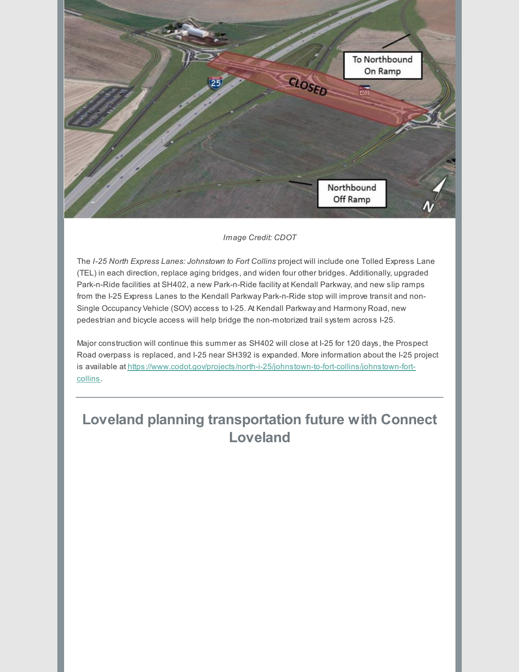

#### *Image Credit: CDOT*

The *I-25 North Express Lanes: Johnstown to Fort Collins* project will include one Tolled Express Lane (TEL) in each direction, replace aging bridges, and widen four other bridges. Additionally, upgraded Park-n-Ride facilities at SH402, a new Park-n-Ride facility at Kendall Parkway, and new slip ramps from the I-25 Express Lanes to the Kendall Parkway Park-n-Ride stop will improve transit and non-Single Occupancy Vehicle (SOV) access to I-25. At Kendall Parkway and Harmony Road, new pedestrian and bicycle access will help bridge the non-motorized trail system across I-25.

Major construction will continue this summer as SH402 will close at I-25 for 120 days, the Prospect Road overpass is replaced, and I-25 near SH392 is expanded. More information about the I-25 project is available at [https://www.codot.gov/projects/north-i-25/johnstown-to-fort-collins/johnstown-fort](https://www.codot.gov/projects/north-i-25/johnstown-to-fort-collins/johnstown-fort-collins)collins.

## **Loveland planning transportation future with Connect Loveland**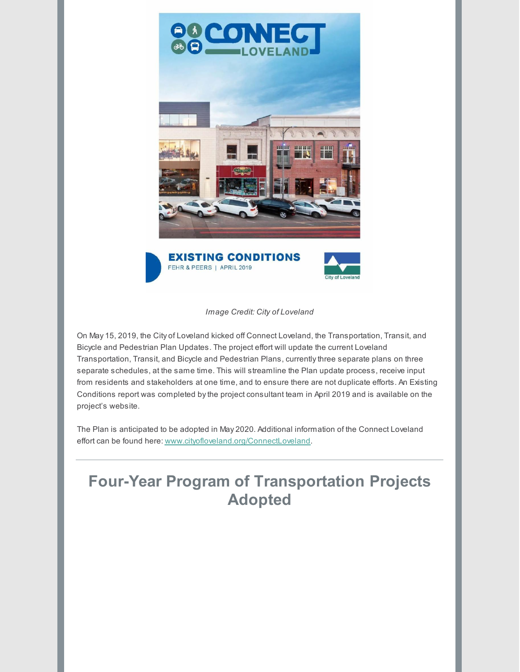

*Image Credit: City of Loveland*

On May 15, 2019, the City of Loveland kicked off Connect Loveland, the Transportation, Transit, and Bicycle and Pedestrian Plan Updates. The project effort will update the current Loveland Transportation, Transit, and Bicycle and Pedestrian Plans, currentlythree separate plans on three separate schedules, at the same time. This will streamline the Plan update process, receive input from residents and stakeholders at one time, and to ensure there are not duplicate efforts. An Existing Conditions report was completed bythe project consultant team in April 2019 and is available on the project's website.

The Plan is anticipated to be adopted in May 2020. Additional information of the Connect Loveland effort can be found here: [www.cityofloveland.org/ConnectLoveland](http://www.cityofloveland.org/ConnectLoveland).

# **Four-Year Program of Transportation Projects Adopted**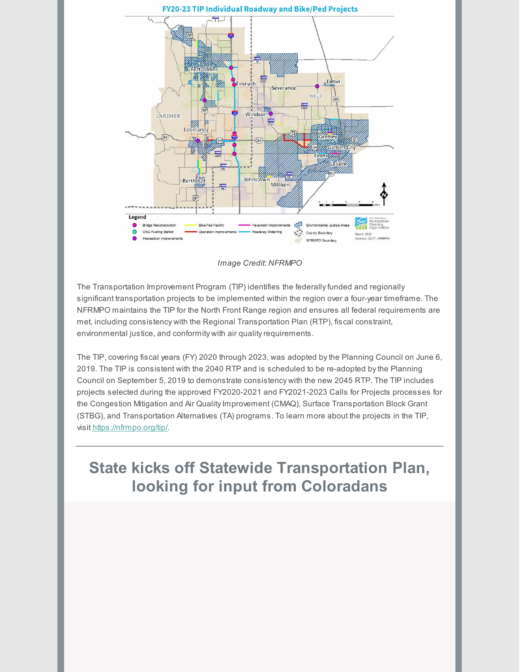

*Image Credit: NFRMPO*

The Transportation Improvement Program (TIP) identifies the federally funded and regionally significant transportation projects to be implemented within the region over a four-year timeframe. The NFRMPO maintains the TIP for the North Front Range region and ensures all federal requirements are met, including consistency with the Regional Transportation Plan (RTP), fiscal constraint, environmental justice, and conformity with air quality requirements.

The TIP, covering fiscal years (FY) 2020 through 2023, was adopted bythe Planning Council on June 6, 2019. The TIP is consistent with the 2040 RTP and is scheduled to be re-adopted bythe Planning Council on September 5, 2019 to demonstrate consistency with the new 2045 RTP. The TIP includes projects selected during the approved FY2020-2021 and FY2021-2023 Calls for Projects processes for the Congestion Mitigation and Air Quality Improvement (CMAQ), Surface Transportation Block Grant (STBG), and Transportation Alternatives (TA) programs. To learn more about the projects in the TIP, visit <https://nfrmpo.org/tip/>.

# **State kicks off Statewide Transportation Plan, looking for input from Coloradans**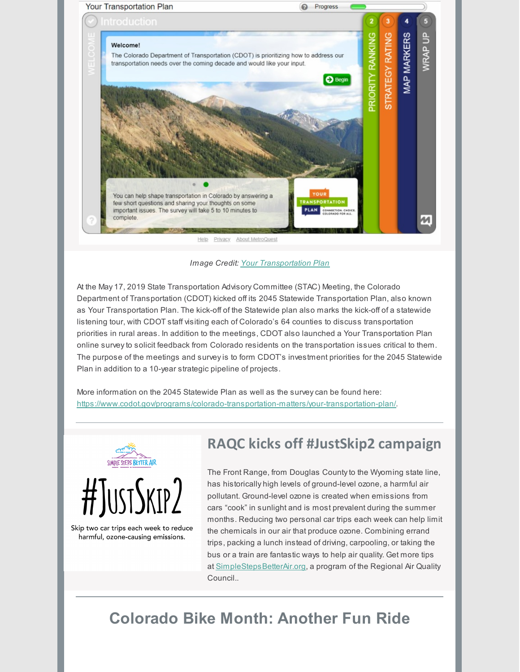

*Image Credit: Your [Transportation](https://yourtransportationplan.com/) Plan*

At the May 17, 2019 State Transportation Advisory Committee (STAC) Meeting, the Colorado Department of Transportation (CDOT) kicked off its 2045 Statewide Transportation Plan, also known as Your Transportation Plan. The kick-off of the Statewide plan also marks the kick-off of a statewide listening tour, with CDOT staff visiting each of Colorado's 64 counties to discuss transportation priorities in rural areas. In addition to the meetings, CDOT also launched a Your Transportation Plan online surveyto solicit feedback from Colorado residents on the transportation issues critical to them. The purpose of the meetings and surveyis to form CDOT's investment priorities for the 2045 Statewide Plan in addition to a 10-year strategic pipeline of projects.

More information on the 2045 Statewide Plan as well as the surveycan be found here: <https://www.codot.gov/programs/colorado-transportation-matters/your-transportation-plan/>.



Skip two car trips each week to reduce harmful, ozone-causing emissions.

### **RAQC kicks off #JustSkip2 campaign**

The Front Range, from Douglas County to the Wyoming state line, has historically high levels of ground-level ozone, a harmful air pollutant. Ground-level ozone is created when emissions from cars "cook" in sunlight and is most prevalent during the summer months. Reducing two personal car trips each week can help limit the chemicals in our air that produce ozone. Combining errand trips, packing a lunch instead of driving, carpooling, or taking the bus or a train are fantastic ways to help air quality. Get more tips at [SimpleStepsBetterAir.org](https://simplestepsbetterair.org), a program of the Regional Air Quality Council..

# **Colorado Bike Month: Another Fun Ride**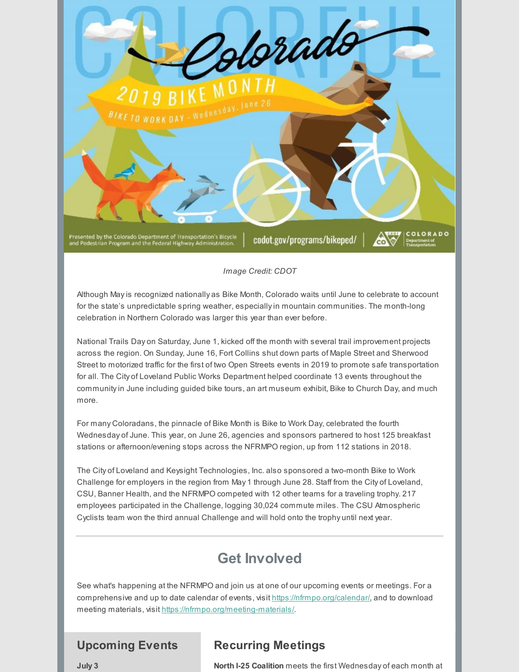

*Image Credit: CDOT*

Although Mayis recognized nationally as Bike Month, Colorado waits until June to celebrate to account for the state's unpredictable spring weather, especiallyin mountain communities. The month-long celebration in Northern Colorado was larger this year than ever before.

National Trails Day on Saturday, June 1, kicked off the month with several trail improvement projects across the region. On Sunday, June 16, Fort Collins shut down parts of Maple Street and Sherwood Street to motorized traffic for the first of two Open Streets events in 2019 to promote safe transportation for all. The City of Loveland Public Works Department helped coordinate 13 events throughout the communityin June including guided bike tours, an art museum exhibit, Bike to Church Day, and much more.

For many Coloradans, the pinnacle of Bike Month is Bike to Work Day, celebrated the fourth Wednesday of June. This year, on June 26, agencies and sponsors partnered to host 125 breakfast stations or afternoon/evening stops across the NFRMPO region, up from 112 stations in 2018.

The City of Loveland and Keysight Technologies, Inc. also sponsored a two-month Bike to Work Challenge for employers in the region from May 1 through June 28. Staff from the City of Loveland, CSU, Banner Health, and the NFRMPO competed with 12 other teams for a traveling trophy. 217 employees participated in the Challenge, logging 30,024 commute miles. The CSU Atmospheric Cyclists team won the third annual Challenge and will hold onto the trophy until next year.

### **Get Involved**

See what's happening at the NFRMPO and join us at one of our upcoming events or meetings. For a comprehensive and up to date calendar of events, visit <https://nfrmpo.org/calendar/>, and to download meeting materials, visit <https://nfrmpo.org/meeting-materials/>.

#### **Upcoming Events**

#### **Recurring Meetings**

**July 3**

**North I-25 Coalition** meets the first Wednesday of each month at